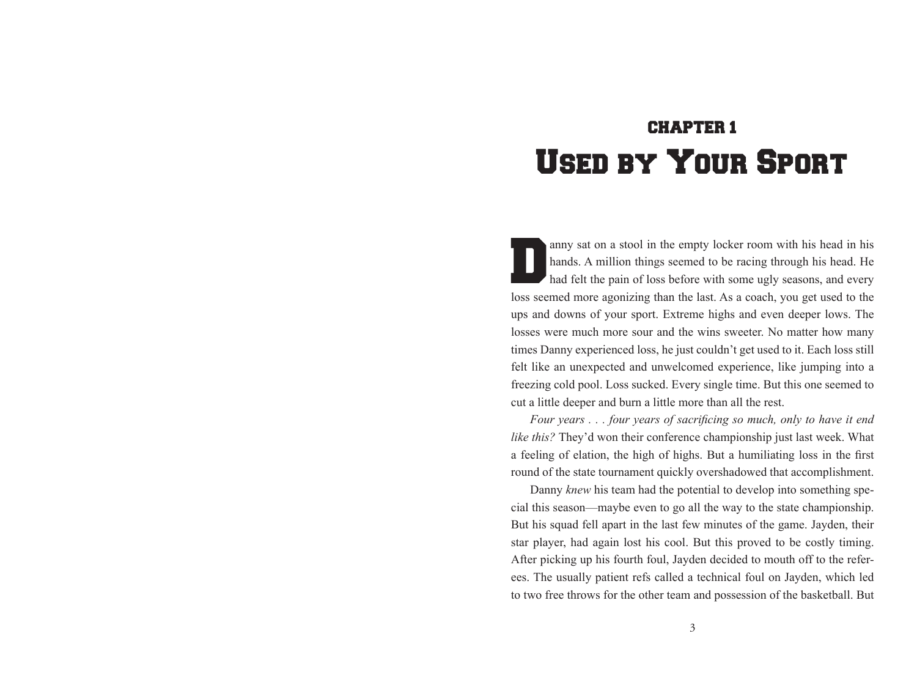# CHAPTER 1 Used by Your Sport

anny sat on a stool in the empty locker room with his head in his hands. A million things seemed to be racing through his head. He had felt the pain of loss before with some ugly seasons, and every hands. A million things seemed to be racing through his head. He had felt the pain of loss before with some ugly seasons, and every loss seemed more agonizing than the last. As a coach, you get used to the ups and downs of your sport. Extreme highs and even deeper lows. The losses were much more sour and the wins sweeter. No matter how many times Danny experienced loss, he just couldn't get used to it. Each loss still felt like an unexpected and unwelcomed experience, like jumping into a freezing cold pool. Loss sucked. Every single time. But this one seemed to cut a little deeper and burn a little more than all the rest.

*Four years . . . four years of sacrificing so much, only to have it end like this?* They'd won their conference championship just last week. What a feeling of elation, the high of highs. But a humiliating loss in the first round of the state tournament quickly overshadowed that accomplishment.

Danny *knew* his team had the potential to develop into something special this season—maybe even to go all the way to the state championship. But his squad fell apart in the last few minutes of the game. Jayden, their star player, had again lost his cool. But this proved to be costly timing. After picking up his fourth foul, Jayden decided to mouth off to the referees. The usually patient refs called a technical foul on Jayden, which led to two free throws for the other team and possession of the basketball. But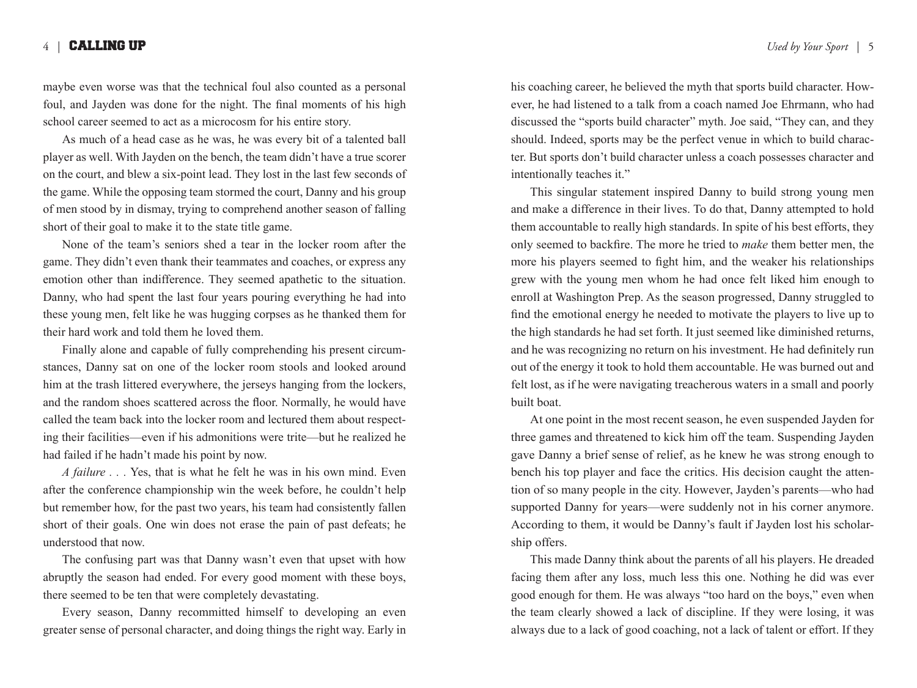#### 4 | CALLING UP *Used by Your Sport* | 5

maybe even worse was that the technical foul also counted as a personal foul, and Jayden was done for the night. The final moments of his high school career seemed to act as a microcosm for his entire story.

As much of a head case as he was, he was every bit of a talented ball player as well. With Jayden on the bench, the team didn't have a true scorer on the court, and blew a six-point lead. They lost in the last few seconds of the game. While the opposing team stormed the court, Danny and his group of men stood by in dismay, trying to comprehend another season of falling short of their goal to make it to the state title game.

None of the team's seniors shed a tear in the locker room after the game. They didn't even thank their teammates and coaches, or express any emotion other than indifference. They seemed apathetic to the situation. Danny, who had spent the last four years pouring everything he had into these young men, felt like he was hugging corpses as he thanked them for their hard work and told them he loved them.

Finally alone and capable of fully comprehending his present circumstances, Danny sat on one of the locker room stools and looked around him at the trash littered everywhere, the jerseys hanging from the lockers, and the random shoes scattered across the floor. Normally, he would have called the team back into the locker room and lectured them about respecting their facilities—even if his admonitions were trite—but he realized he had failed if he hadn't made his point by now.

*A failure . . .* Yes, that is what he felt he was in his own mind. Even after the conference championship win the week before, he couldn't help but remember how, for the past two years, his team had consistently fallen short of their goals. One win does not erase the pain of past defeats; he understood that now.

The confusing part was that Danny wasn't even that upset with how abruptly the season had ended. For every good moment with these boys, there seemed to be ten that were completely devastating.

Every season, Danny recommitted himself to developing an even greater sense of personal character, and doing things the right way. Early in his coaching career, he believed the myth that sports build character. However, he had listened to a talk from a coach named Joe Ehrmann, who had discussed the "sports build character" myth. Joe said, "They can, and they should. Indeed, sports may be the perfect venue in which to build character. But sports don't build character unless a coach possesses character and intentionally teaches it."

This singular statement inspired Danny to build strong young men and make a difference in their lives. To do that, Danny attempted to hold them accountable to really high standards. In spite of his best efforts, they only seemed to backfire. The more he tried to *make* them better men, the more his players seemed to fight him, and the weaker his relationships grew with the young men whom he had once felt liked him enough to enroll at Washington Prep. As the season progressed, Danny struggled to find the emotional energy he needed to motivate the players to live up to the high standards he had set forth. It just seemed like diminished returns, and he was recognizing no return on his investment. He had definitely run out of the energy it took to hold them accountable. He was burned out and felt lost, as if he were navigating treacherous waters in a small and poorly built boat.

At one point in the most recent season, he even suspended Jayden for three games and threatened to kick him off the team. Suspending Jayden gave Danny a brief sense of relief, as he knew he was strong enough to bench his top player and face the critics. His decision caught the attention of so many people in the city. However, Jayden's parents—who had supported Danny for years—were suddenly not in his corner anymore. According to them, it would be Danny's fault if Jayden lost his scholarship offers.

This made Danny think about the parents of all his players. He dreaded facing them after any loss, much less this one. Nothing he did was ever good enough for them. He was always "too hard on the boys," even when the team clearly showed a lack of discipline. If they were losing, it was always due to a lack of good coaching, not a lack of talent or effort. If they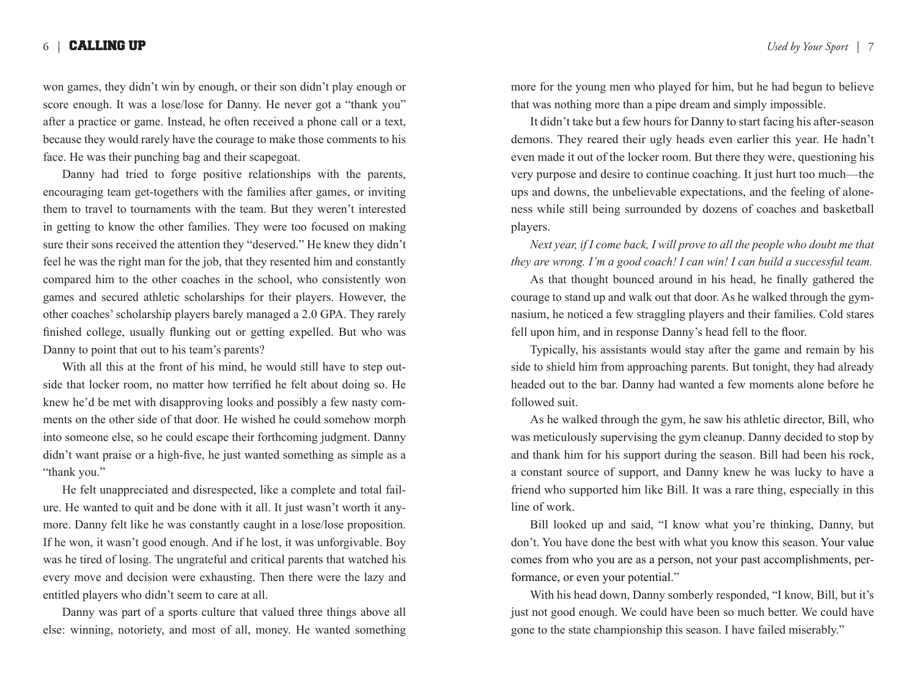## 6 | CALLING UP *Used by Your Sport* | 7

won games, they didn't win by enough, or their son didn't play enough or score enough. It was a lose/lose for Danny. He never got a "thank you" after a practice or game. Instead, he often received a phone call or a text, because they would rarely have the courage to make those comments to his face. He was their punching bag and their scapegoat.

Danny had tried to forge positive relationships with the parents, encouraging team get-togethers with the families after games, or inviting them to travel to tournaments with the team. But they weren't interested in getting to know the other families. They were too focused on making sure their sons received the attention they "deserved." He knew they didn't feel he was the right man for the job, that they resented him and constantly compared him to the other coaches in the school, who consistently won games and secured athletic scholarships for their players. However, the other coaches' scholarship players barely managed a 2.0 GPA. They rarely finished college, usually flunking out or getting expelled. But who was Danny to point that out to his team's parents?

With all this at the front of his mind, he would still have to step outside that locker room, no matter how terrified he felt about doing so. He knew he'd be met with disapproving looks and possibly a few nasty comments on the other side of that door. He wished he could somehow morph into someone else, so he could escape their forthcoming judgment. Danny didn't want praise or a high-five, he just wanted something as simple as a "thank you."

He felt unappreciated and disrespected, like a complete and total failure. He wanted to quit and be done with it all. It just wasn't worth it anymore. Danny felt like he was constantly caught in a lose/lose proposition. If he won, it wasn't good enough. And if he lost, it was unforgivable. Boy was he tired of losing. The ungrateful and critical parents that watched his every move and decision were exhausting. Then there were the lazy and entitled players who didn't seem to care at all.

Danny was part of a sports culture that valued three things above all else: winning, notoriety, and most of all, money. He wanted something more for the young men who played for him, but he had begun to believe that was nothing more than a pipe dream and simply impossible.

It didn't take but a few hours for Danny to start facing his after-season demons. They reared their ugly heads even earlier this year. He hadn't even made it out of the locker room. But there they were, questioning his very purpose and desire to continue coaching. It just hurt too much—the ups and downs, the unbelievable expectations, and the feeling of aloneness while still being surrounded by dozens of coaches and basketball players.

*Next year, if I come back, I will prove to all the people who doubt me that they are wrong. I'm a good coach! I can win! I can build a successful team.* 

As that thought bounced around in his head, he finally gathered the courage to stand up and walk out that door. As he walked through the gymnasium, he noticed a few straggling players and their families. Cold stares fell upon him, and in response Danny's head fell to the floor.

Typically, his assistants would stay after the game and remain by his side to shield him from approaching parents. But tonight, they had already headed out to the bar. Danny had wanted a few moments alone before he followed suit.

As he walked through the gym, he saw his athletic director, Bill, who was meticulously supervising the gym cleanup. Danny decided to stop by and thank him for his support during the season. Bill had been his rock, a constant source of support, and Danny knew he was lucky to have a friend who supported him like Bill. It was a rare thing, especially in this line of work.

Bill looked up and said, "I know what you're thinking, Danny, but don't. You have done the best with what you know this season. Your value comes from who you are as a person, not your past accomplishments, performance, or even your potential."

With his head down, Danny somberly responded, "I know, Bill, but it's just not good enough. We could have been so much better. We could have gone to the state championship this season. I have failed miserably."